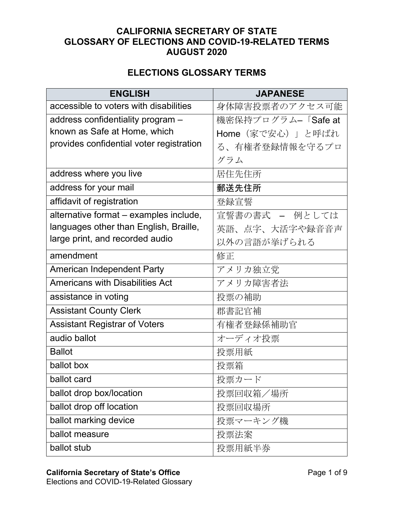## **CALIFORNIA SECRETARY OF STATE GLOSSARY OF ELECTIONS AND COVID-19-RELATED TERMS AUGUST 2020**

## **ELECTIONS GLOSSARY TERMS**

| <b>ENGLISH</b>                           | <b>JAPANESE</b>    |
|------------------------------------------|--------------------|
| accessible to voters with disabilities   | 身体障害投票者のアクセス可能     |
| address confidentiality program -        | 機密保持プログラムー「Safe at |
| known as Safe at Home, which             | Home (家で安心)」と呼ばれ   |
| provides confidential voter registration | る、有権者登録情報を守るプロ     |
|                                          | グラム                |
| address where you live                   | 居住先住所              |
| address for your mail                    | 郵送先住所              |
| affidavit of registration                | 登録宣誓               |
| alternative format - examples include,   | 宣誓書の書式 - 例としては     |
| languages other than English, Braille,   | 英語、点字、大活字や録音音声     |
| large print, and recorded audio          | 以外の言語が挙げられる        |
| amendment                                | 修正                 |
| <b>American Independent Party</b>        | アメリカ独立党            |
| <b>Americans with Disabilities Act</b>   | アメリカ障害者法           |
| assistance in voting                     | 投票の補助              |
| <b>Assistant County Clerk</b>            | 郡書記官補              |
| <b>Assistant Registrar of Voters</b>     | 有権者登録係補助官          |
| audio ballot                             | オーディオ投票            |
| <b>Ballot</b>                            | 投票用紙               |
| ballot box                               | 投票箱                |
| ballot card                              | 投票カード              |
| ballot drop box/location                 | 投票回収箱/場所           |
| ballot drop off location                 | 投票回収場所             |
| ballot marking device                    | 投票マーキング機           |
| ballot measure                           | 投票法案               |
| ballot stub                              | 投票用紙半券             |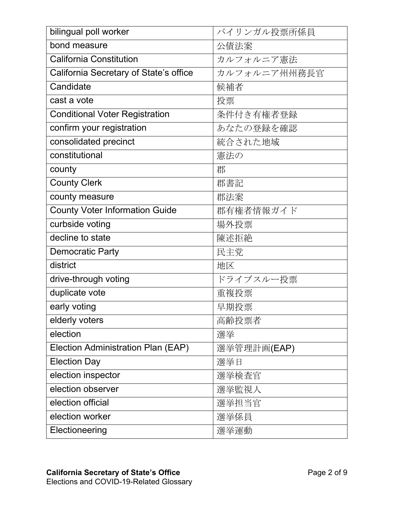| <b>bilingual poll worker</b>           | バイリンガル投票所係員  |
|----------------------------------------|--------------|
| bond measure                           | 公債法案         |
| <b>California Constitution</b>         | カルフォルニア憲法    |
| California Secretary of State's office | カルフォルニア州州務長官 |
| Candidate                              | 候補者          |
| cast a vote                            | 投票           |
| <b>Conditional Voter Registration</b>  | 条件付き有権者登録    |
| confirm your registration              | あなたの登録を確認    |
| consolidated precinct                  | 統合された地域      |
| constitutional                         | 憲法の          |
| county                                 | 郡            |
| <b>County Clerk</b>                    | 郡書記          |
| county measure                         | 郡法案          |
| <b>County Voter Information Guide</b>  | 郡有権者情報ガイド    |
| curbside voting                        | 場外投票         |
| decline to state                       | 陳述拒絶         |
| <b>Democratic Party</b>                | 民主党          |
| district                               | 地区           |
| drive-through voting                   | ドライブスルー投票    |
| duplicate vote                         | 重複投票         |
| early voting                           | 早期投票         |
| elderly voters                         | 高齢投票者        |
| election                               | 選挙           |
| Election Administration Plan (EAP)     | 選挙管理計画(EAP)  |
| <b>Election Day</b>                    | 選挙日          |
| election inspector                     | 選挙検査官        |
| election observer                      | 選挙監視人        |
| election official                      | 選挙担当官        |
| election worker                        | 選挙係員         |
| Electioneering                         | 選挙運動         |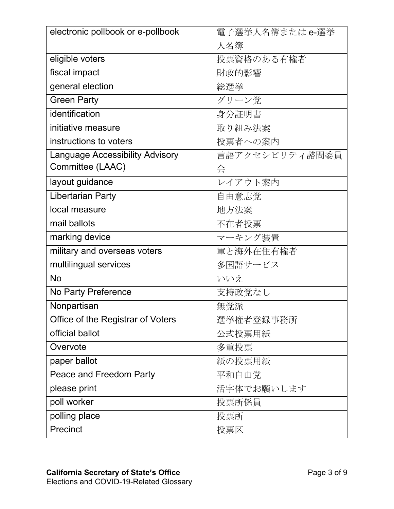| electronic pollbook or e-pollbook      | 電子選挙人名簿またはe-選挙 |
|----------------------------------------|----------------|
|                                        | 人名簿            |
| eligible voters                        | 投票資格のある有権者     |
| fiscal impact                          | 財政的影響          |
| general election                       | 総選挙            |
| <b>Green Party</b>                     | グリーン党          |
| identification                         | 身分証明書          |
| initiative measure                     | 取り組み法案         |
| instructions to voters                 | 投票者への案内        |
| <b>Language Accessibility Advisory</b> | 言語アクセシビリティ諮問委員 |
| Committee (LAAC)                       | 会              |
| layout guidance                        | レイアウト案内        |
| <b>Libertarian Party</b>               | 自由意志党          |
| local measure                          | 地方法案           |
| mail ballots                           | 不在者投票          |
| marking device                         | マーキング装置        |
| military and overseas voters           | 軍と海外在住有権者      |
| multilingual services                  | 多国語サービス        |
| <b>No</b>                              | いいえ            |
| No Party Preference                    | 支持政党なし         |
| Nonpartisan                            | 無党派            |
| Office of the Registrar of Voters      | 選挙権者登録事務所      |
| official ballot                        | 公式投票用紙         |
| Overvote                               | 多重投票           |
| paper ballot                           | 紙の投票用紙         |
| Peace and Freedom Party                | 平和自由党          |
| please print                           | 活字体でお願いします     |
| poll worker                            | 投票所係員          |
| polling place                          | 投票所            |
| Precinct                               | 投票区            |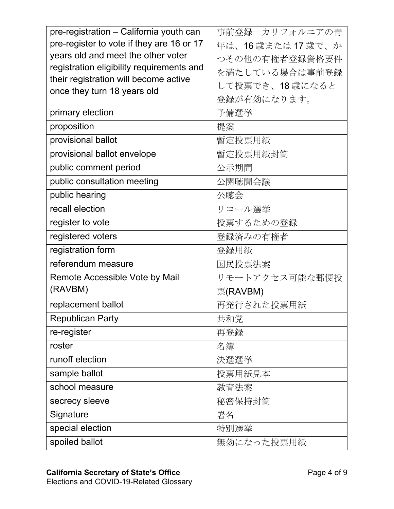| pre-registration - California youth can   | 事前登録―カリフォルニアの青  |
|-------------------------------------------|-----------------|
| pre-register to vote if they are 16 or 17 | 年は、16歳または17歳で、か |
| years old and meet the other voter        | つその他の有権者登録資格要件  |
| registration eligibility requirements and | を満たしている場合は事前登録  |
| their registration will become active     | して投票でき、18歳になると  |
| once they turn 18 years old               | 登録が有効になります。     |
| primary election                          | 予備選挙            |
| proposition                               | 提案              |
| provisional ballot                        | 暫定投票用紙          |
| provisional ballot envelope               | 暫定投票用紙封筒        |
| public comment period                     | 公示期間            |
| public consultation meeting               | 公開聴聞会議          |
| public hearing                            | 公聴会             |
| recall election                           | リコール選挙          |
| register to vote                          | 投票するための登録       |
| registered voters                         | 登録済みの有権者        |
| registration form                         | 登録用紙            |
| referendum measure                        | 国民投票法案          |
| Remote Accessible Vote by Mail            | リモートアクセス可能な郵便投  |
| (RAVBM)                                   | 票(RAVBM)        |
| replacement ballot                        | 再発行された投票用紙      |
| <b>Republican Party</b>                   | 共和党             |
| re-register                               | 再登録             |
| roster                                    | 名簿              |
| runoff election                           | 決選選挙            |
| sample ballot                             | 投票用紙見本          |
| school measure                            | 教育法案            |
| secrecy sleeve                            | 秘密保持封筒          |
| Signature                                 | 署名              |
| special election                          | 特別選挙            |
| spoiled ballot                            | 無効になった投票用紙      |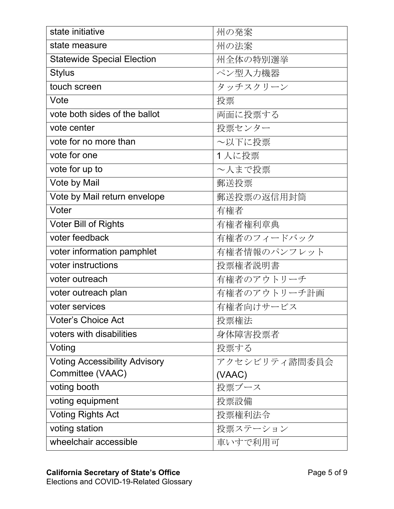| state initiative                     | 州の発案          |
|--------------------------------------|---------------|
| state measure                        | 州の法案          |
| <b>Statewide Special Election</b>    | 州全体の特別選挙      |
| <b>Stylus</b>                        | ペン型入力機器       |
| touch screen                         | タッチスクリーン      |
| Vote                                 | 投票            |
| vote both sides of the ballot        | 両面に投票する       |
| vote center                          | 投票センター        |
| vote for no more than                | ~以下に投票        |
| vote for one                         | 1人に投票         |
| vote for up to                       | ~人まで投票        |
| Vote by Mail                         | 郵送投票          |
| Vote by Mail return envelope         | 郵送投票の返信用封筒    |
| Voter                                | 有権者           |
| <b>Voter Bill of Rights</b>          | 有権者権利章典       |
| voter feedback                       | 有権者のフィードバック   |
| voter information pamphlet           | 有権者情報のパンフレット  |
| voter instructions                   | 投票権者説明書       |
| voter outreach                       | 有権者のアウトリーチ    |
| voter outreach plan                  | 有権者のアウトリーチ計画  |
| voter services                       | 有権者向けサービス     |
| <b>Voter's Choice Act</b>            | 投票権法          |
| voters with disabilities             | 身体障害投票者       |
| Voting                               | 投票する          |
| <b>Voting Accessibility Advisory</b> | アクセシビリティ諮問委員会 |
| Committee (VAAC)                     | (VAAC)        |
| voting booth                         | 投票ブース         |
| voting equipment                     | 投票設備          |
| <b>Voting Rights Act</b>             | 投票権利法令        |
| voting station                       | 投票ステーション      |
| wheelchair accessible                | 車いすで利用可       |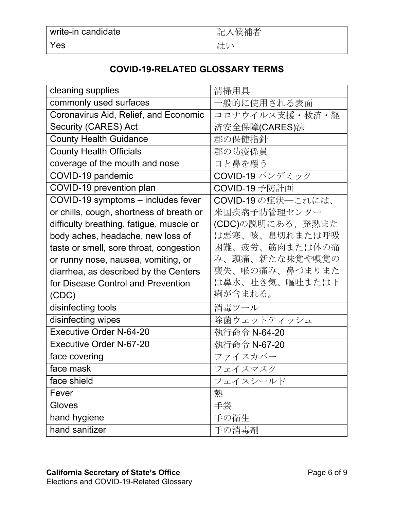| write-in candidate | 、候補者<br>記 |
|--------------------|-----------|
| Yes                | 一<br>∣ക   |

## **COVID-19-RELATED GLOSSARY TERMS**

| cleaning supplies                        | 清掃用具               |
|------------------------------------------|--------------------|
| commonly used surfaces                   | 一般的に使用される表面        |
| Coronavirus Aid, Relief, and Economic    | コロナウイルス支援・救済・経     |
| Security (CARES) Act                     | 済安全保障(CARES)法      |
| <b>County Health Guidance</b>            | 郡の保健指針             |
| <b>County Health Officials</b>           | 郡の防疫係員             |
| coverage of the mouth and nose           | 口と鼻を覆う             |
| COVID-19 pandemic                        | COVID-19 パンデミック    |
| COVID-19 prevention plan                 | COVID-19 予防計画      |
| COVID-19 symptoms - includes fever       | COVID-19の症状––これには、 |
| or chills, cough, shortness of breath or | 米国疾病予防管理センター       |
| difficulty breathing, fatigue, muscle or | (CDC)の説明にある、発熱また   |
| body aches, headache, new loss of        | は悪寒、咳、息切れまたは呼吸     |
| taste or smell, sore throat, congestion  | 困難、疲労、筋肉または体の痛     |
| or runny nose, nausea, vomiting, or      | み、頭痛、新たな味覚や嗅覚の     |
| diarrhea, as described by the Centers    | 喪失、喉の痛み、鼻づまりまた     |
| for Disease Control and Prevention       | は鼻水、吐き気、嘔吐または下     |
| (CDC)                                    | 痢が含まれる。            |
| disinfecting tools                       | 消毒ツール              |
| disinfecting wipes                       | 除菌ウェットティッシュ        |
| <b>Executive Order N-64-20</b>           | 執行命令 N-64-20       |
| <b>Executive Order N-67-20</b>           | 執行命令 N-67-20       |
| face covering                            | ファイスカバー            |
| face mask                                | フェイスマスク            |
| face shield                              | フェイスシールド           |
| Fever                                    | 熱                  |
| Gloves                                   | 手袋                 |
| hand hygiene                             | 手の衛生               |
| hand sanitizer                           | 手の消毒剤              |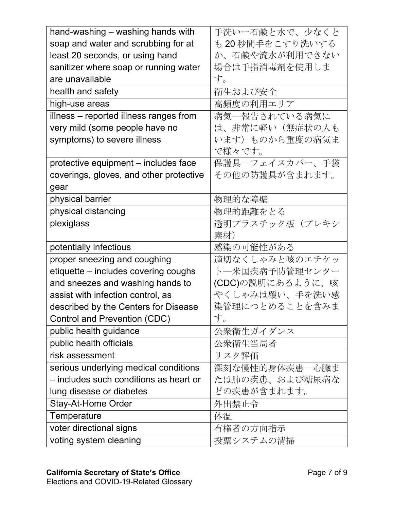| hand-washing - washing hands with       | 手洗いー石鹸と水で、少なくと   |
|-----------------------------------------|------------------|
| soap and water and scrubbing for at     | も 20 秒間手をこすり洗いする |
| least 20 seconds, or using hand         | か、石鹸や流水が利用できない   |
| sanitizer where soap or running water   | 場合は手指消毒剤を使用しま    |
| are unavailable                         | す。               |
| health and safety                       | 衛生および安全          |
| high-use areas                          | 高頻度の利用エリア        |
| illness – reported illness ranges from  | 病気―報告されている病気に    |
| very mild (some people have no          | は、非常に軽い(無症状の人も   |
| symptoms) to severe illness             | います)ものから重度の病気ま   |
|                                         | で様々です。           |
| protective equipment - includes face    | 保護具一フェイスカバー、手袋   |
| coverings, gloves, and other protective | その他の防護具が含まれます。   |
| gear                                    |                  |
| physical barrier                        | 物理的な障壁           |
| physical distancing                     | 物理的距離をとる         |
| plexiglass                              | 透明プラスチック板(プレキシ   |
|                                         | 素材)              |
| potentially infectious                  | 感染の可能性がある        |
| proper sneezing and coughing            | 適切なくしゃみと咳のエチケッ   |
| etiquette - includes covering coughs    | ト―米国疾病予防管理センター   |
| and sneezes and washing hands to        | (CDC)の説明にあるように、咳 |
| assist with infection control, as       | やくしゃみは覆い、手を洗い感   |
| described by the Centers for Disease    | 染管理につとめることを含みま   |
| Control and Prevention (CDC)            | す。               |
| public health guidance                  | 公衆衛生ガイダンス        |
| public health officials                 | 公衆衛生当局者          |
| risk assessment                         | リスク評価            |
| serious underlying medical conditions   | 深刻な慢性的身体疾患―心臓ま   |
| – includes such conditions as heart or  | たは肺の疾患、および糖尿病な   |
| lung disease or diabetes                | どの疾患が含まれます。      |
| Stay-At-Home Order                      | 外出禁止令            |
| Temperature                             | 体温               |
| voter directional signs                 | 有権者の方向指示         |
| voting system cleaning                  | 投票システムの清掃        |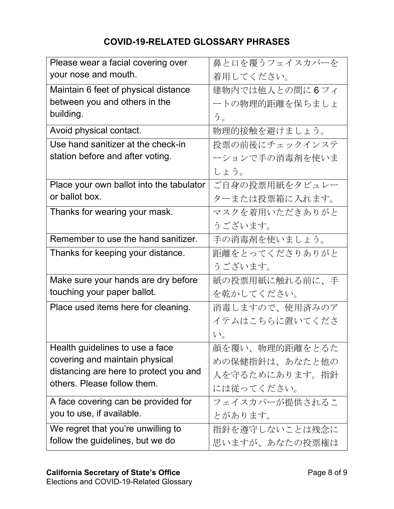## **COVID-19-RELATED GLOSSARY PHRASES**

| Please wear a facial covering over       | 鼻と口を覆うフェイスカバーを |
|------------------------------------------|----------------|
| your nose and mouth.                     | 着用してください。      |
| Maintain 6 feet of physical distance     | 建物内では他人との間に6フィ |
| between you and others in the            | ートの物理的距離を保ちましょ |
| building.                                | う。             |
| Avoid physical contact.                  | 物理的接触を避けましょう。  |
| Use hand sanitizer at the check-in       | 投票の前後にチェックインステ |
| station before and after voting.         | ーションで手の消毒剤を使いま |
|                                          | しょう。           |
| Place your own ballot into the tabulator | ご自身の投票用紙をタビュレー |
| or ballot box.                           | ターまたは投票箱に入れます。 |
| Thanks for wearing your mask.            | マスクを着用いただきありがと |
|                                          | うございます。        |
| Remember to use the hand sanitizer.      | 手の消毒剤を使いましょう。  |
| Thanks for keeping your distance.        | 距離をとってくださりありがと |
|                                          | うございます。        |
| Make sure your hands are dry before      | 紙の投票用紙に触れる前に、手 |
| touching your paper ballot.              | を乾かしてください。     |
| Place used items here for cleaning.      | 消毒しますので、使用済みのア |
|                                          | イテムはこちらに置いてくださ |
|                                          | $V_{\circ}$    |
| Health guidelines to use a face          | 顔を覆い、物理的距離をとるた |
| covering and maintain physical           | めの保健指針は、あなたと他の |
| distancing are here to protect you and   | 人を守るためにあります。指針 |
| others. Please follow them.              | には従ってください。     |
| A face covering can be provided for      | フェイスカバーが提供されるこ |
| you to use, if available.                | とがあります。        |
| We regret that you're unwilling to       | 指針を遵守しないことは残念に |
| follow the guidelines, but we do         | 思いますが、あなたの投票権は |